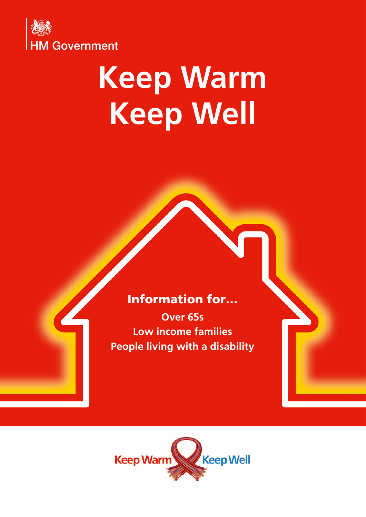

# **Keep Warm Keep Well**

#### Information for…

**Over 65s Low income families People living with a disability**

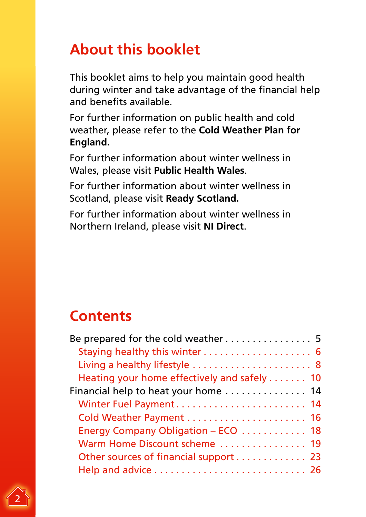# **About this booklet**

This booklet aims to help you maintain good health during winter and take advantage of the financial help and benefits available.

For further information on public health and cold weather, please refer to the **[Cold Weather Plan for](https://www.gov.uk/government/publications/cold-weather-plan-cwp-for-england)  [England](https://www.gov.uk/government/publications/cold-weather-plan-cwp-for-england).**

For further information about winter wellness in Wales, please visit **[Public Health Wales](http://www.wales.nhs.uk/sitesplus/888/page/94622)**.

For further information about winter wellness in Scotland, please visit **[Ready Scotland.](https://www.readyscotland.org/are-you-ready/severe-weather/cold-snow-and-ice/)**

For further information about winter wellness in Northern Ireland, please visit **[NI Direct](https://www.nidirect.gov.uk/articles/taking-care-winter)**.

# **Contents**

| Be prepared for the cold weather 5          |  |
|---------------------------------------------|--|
| Staying healthy this winter 6               |  |
| Living a healthy lifestyle  8               |  |
| Heating your home effectively and safely 10 |  |
| Financial help to heat your home  14        |  |
| Winter Fuel Payment 14                      |  |
| Cold Weather Payment  16                    |  |
| Energy Company Obligation - ECO 18          |  |
| Warm Home Discount scheme  19               |  |
| Other sources of financial support 23       |  |
|                                             |  |

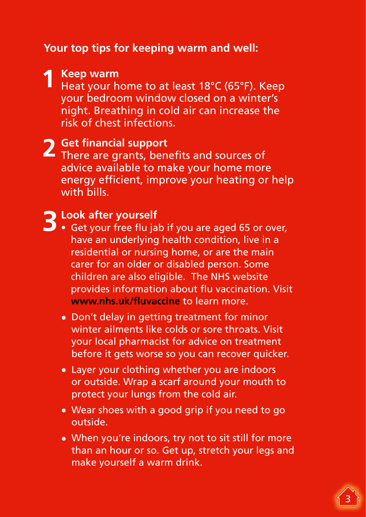#### **Your top tips for keeping warm and well:**

**1 Keep warm** Heat your home to at least 18°C (65°F). Keep your bedroom window closed on a winter's night. Breathing in cold air can increase the risk of chest infections.

**2 Get financial support** There are grants, benefits and sources of advice available to make your home more energy efficient, improve your heating or help with bills.

- **3 Look after yourself**<br> **3** Get your free flu jab if you are aged 65 or over, have an underlying health condition, live in a residential or nursing home, or are the main carer for an older or disabled person. Some children are also eligible. The NHS website provides information about flu vaccination. Visit **[www.nhs.uk/fluvaccine](http://www.nhs.uk/fluvaccine)** to learn more.
	- Don't delay in getting treatment for minor winter ailments like colds or sore throats. Visit your local pharmacist for advice on treatment before it gets worse so you can recover quicker.
	- Layer your clothing whether you are indoors or outside. Wrap a scarf around your mouth to protect your lungs from the cold air.
	- Wear shoes with a good grip if you need to go outside.
	- When you're indoors, try not to sit still for more than an hour or so. Get up, stretch your legs and make yourself a warm drink.

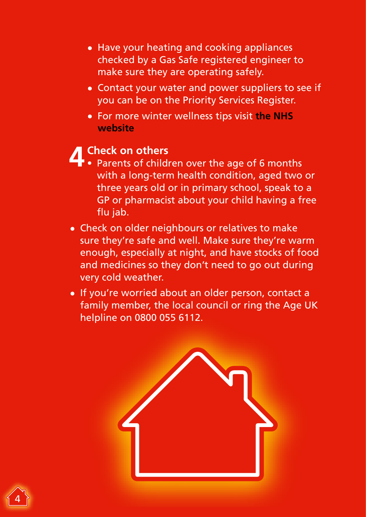- Have your heating and cooking appliances checked by a Gas Safe registered engineer to make sure they are operating safely.
- Contact your water and power suppliers to see if you can be on the Priority Services Register.
- For more winter wellness tips visit **the [NHS](https://www.nhs.uk/live-well/healthy-body/keep-warm-keep-well/)  [website](https://www.nhs.uk/live-well/healthy-body/keep-warm-keep-well/)**

- **4 Check on others** Parents of children over the age of 6 months with a long-term health condition, aged two or three years old or in primary school, speak to a GP or pharmacist about your child having a free flu jab.
- Check on older neighbours or relatives to make sure they're safe and well. Make sure they're warm enough, especially at night, and have stocks of food and medicines so they don't need to go out during very cold weather.
- If you're worried about an older person, contact a family member, the local council or ring the Age UK helpline on 0800 055 6112.



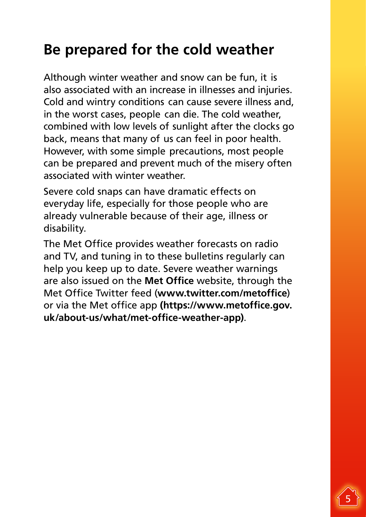# <span id="page-4-0"></span>**Be prepared for the cold weather**

Although winter weather and snow can be fun, it is also associated with an increase in illnesses and injuries. Cold and wintry conditions can cause severe illness and, in the worst cases, people can die. The cold weather, combined with low levels of sunlight after the clocks go back, means that many of us can feel in poor health. However, with some simple precautions, most people can be prepared and prevent much of the misery often associated with winter weather.

Severe cold snaps can have dramatic effects on everyday life, especially for those people who are already vulnerable because of their age, illness or disability.

The Met Office provides weather forecasts on radio and TV, and tuning in to these bulletins regularly can help you keep up to date. Severe weather warnings are also issued on the **[Met Office](https://www.metoffice.gov.uk/)** website, through the Met Office Twitter feed (**[www.twitter.com/metoffice](http://www.twitter.com/metoffice)**) or via the Met office app **(https://www.metoffice.gov. uk/about-us/what/met-office-weather-app)**.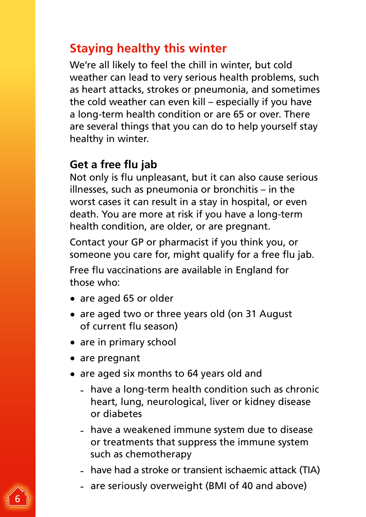### <span id="page-5-0"></span>**Staying healthy this winter**

We're all likely to feel the chill in winter, but cold weather can lead to very serious health problems, such as heart attacks, strokes or pneumonia, and sometimes the cold weather can even kill – especially if you have a long-term health condition or are 65 or over. There are several things that you can do to help yourself stay healthy in winter.

#### **Get a free flu jab**

Not only is flu unpleasant, but it can also cause serious illnesses, such as pneumonia or bronchitis – in the worst cases it can result in a stay in hospital, or even death. You are more at risk if you have a long-term health condition, are older, or are pregnant.

Contact your GP or pharmacist if you think you, or someone you care for, might qualify for a free flu jab.

Free flu vaccinations are available in England for those who:

- are aged 65 or older
- are aged two or three years old (on 31 August of current flu season)
- are in primary school
- are pregnant
- are aged six months to 64 years old and
	- have a long-term health condition such as chronic heart, lung, neurological, liver or kidney disease or diabetes
	- have a weakened immune system due to disease or treatments that suppress the immune system such as chemotherapy
	- have had a stroke or transient ischaemic attack (TIA)
	- are seriously overweight (BMI of 40 and above)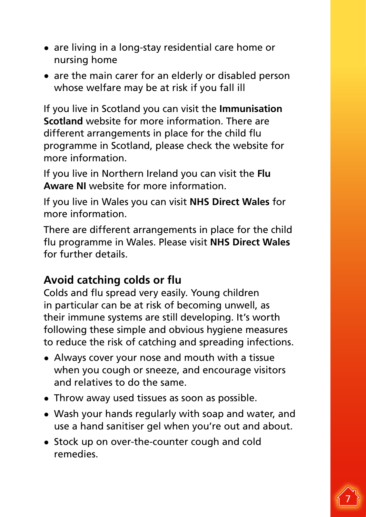- are living in a long-stay residential care home or nursing home
- are the main carer for an elderly or disabled person whose welfare may be at risk if you fall ill

If you live in Scotland you can visit the **[Immunisation](https://www.nhsinform.scot/healthy-living/immunisation) [Scotland](https://www.nhsinform.scot/healthy-living/immunisation)** website for more information. There are different arrangements in place for the child flu programme in Scotland, please check the website for more information.

If you live in Northern Ireland you can visit the **[Flu](https://www.nidirect.gov.uk/articles/flu-vaccination)  [Aware NI](https://www.nidirect.gov.uk/articles/flu-vaccination)** website for more information.

If you live in Wales you can visit **[NHS Direct Wales](http://www.nhsdirect.wales.nhs.uk/doityourself/vaccinations/flujab/)** for more information.

There are different arrangements in place for the child flu programme in Wales. Please visit **[NHS Direct Wales](http://www.wales.nhs.uk/sitesplus/888/page/96860)** for further details.

#### **Avoid catching colds or flu**

Colds and flu spread very easily. Young children in particular can be at risk of becoming unwell, as their immune systems are still developing. It's worth following these simple and obvious hygiene measures to reduce the risk of catching and spreading infections.

- Always cover your nose and mouth with a tissue when you cough or sneeze, and encourage visitors and relatives to do the same.
- Throw away used tissues as soon as possible.
- Wash your hands regularly with soap and water, and use a hand sanitiser gel when you're out and about.
- Stock up on over-the-counter cough and cold remedies.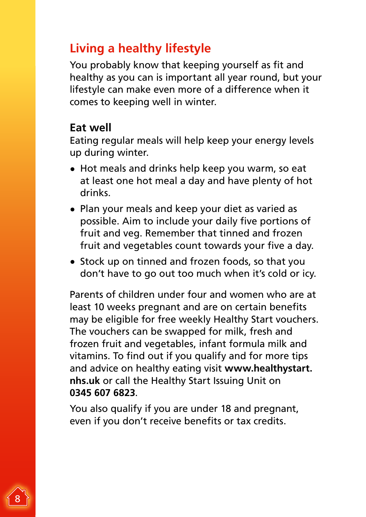### <span id="page-7-0"></span>**Living a healthy lifestyle**

You probably know that keeping yourself as fit and healthy as you can is important all year round, but your lifestyle can make even more of a difference when it comes to keeping well in winter.

#### **Eat well**

Eating regular meals will help keep your energy levels up during winter.

- Hot meals and drinks help keep you warm, so eat at least one hot meal a day and have plenty of hot drinks.
- Plan your meals and keep your diet as varied as possible. Aim to include your daily five portions of fruit and veg. Remember that tinned and frozen fruit and vegetables count towards your five a day.
- Stock up on tinned and frozen foods, so that you don't have to go out too much when it's cold or icy.

Parents of children under four and women who are at least 10 weeks pregnant and are on certain benefits may be eligible for free weekly Healthy Start vouchers. The vouchers can be swapped for milk, fresh and frozen fruit and vegetables, infant formula milk and vitamins. To find out if you qualify and for more tips and advice on healthy eating visit **[www.healthystart.](https://www.healthystart.nhs.uk/) [nhs.uk](https://www.healthystart.nhs.uk/)** or call the Healthy Start Issuing Unit on **0345 607 6823**.

You also qualify if you are under 18 and pregnant, even if you don't receive benefits or tax credits.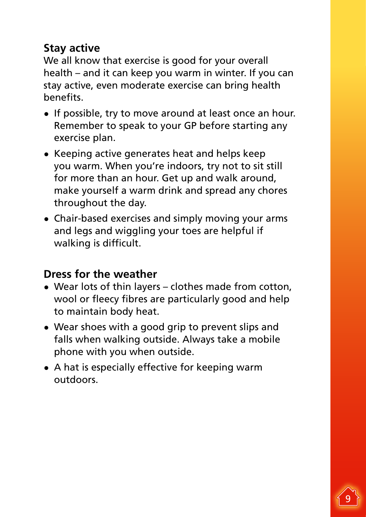#### **Stay active**

We all know that exercise is good for your overall health – and it can keep you warm in winter. If you can stay active, even moderate exercise can bring health benefits.

- If possible, try to move around at least once an hour. Remember to speak to your GP before starting any exercise plan.
- Keeping active generates heat and helps keep you warm. When you're indoors, try not to sit still for more than an hour. Get up and walk around, make yourself a warm drink and spread any chores throughout the day.
- Chair-based exercises and simply moving your arms and legs and wiggling your toes are helpful if walking is difficult.

#### **Dress for the weather**

- Wear lots of thin layers clothes made from cotton, wool or fleecy fibres are particularly good and help to maintain body heat.
- Wear shoes with a good grip to prevent slips and falls when walking outside. Always take a mobile phone with you when outside.
- A hat is especially effective for keeping warm outdoors.

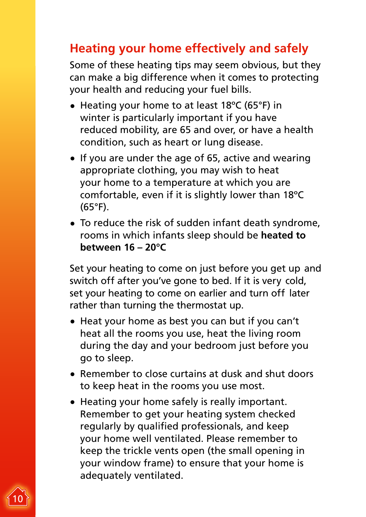# <span id="page-9-0"></span>**Heating your home effectively and safely**

Some of these heating tips may seem obvious, but they can make a big difference when it comes to protecting your health and reducing your fuel bills.

- Heating your home to at least 18ºC (65°F) in winter is particularly important if you have reduced mobility, are 65 and over, or have a health condition, such as heart or lung disease.
- If you are under the age of 65, active and wearing appropriate clothing, you may wish to heat your home to a temperature at which you are comfortable, even if it is slightly lower than 18ºC (65°F).
- To reduce the risk of sudden infant death syndrome, rooms in which infants sleep should be **[heated to](http://www.lullabytrust.org.uk/roomtemperature) [between 16 – 20°C](http://www.lullabytrust.org.uk/roomtemperature)**

Set your heating to come on just before you get up and switch off after you've gone to bed. If it is very cold, set your heating to come on earlier and turn off later rather than turning the thermostat up.

- Heat your home as best you can but if you can't heat all the rooms you use, heat the living room during the day and your bedroom just before you go to sleep.
- Remember to close curtains at dusk and shut doors to keep heat in the rooms you use most.
- Heating your home safely is really important. Remember to get your heating system checked regularly by qualified professionals, and keep your home well ventilated. Please remember to keep the trickle vents open (the small opening in your window frame) to ensure that your home is adequately ventilated.

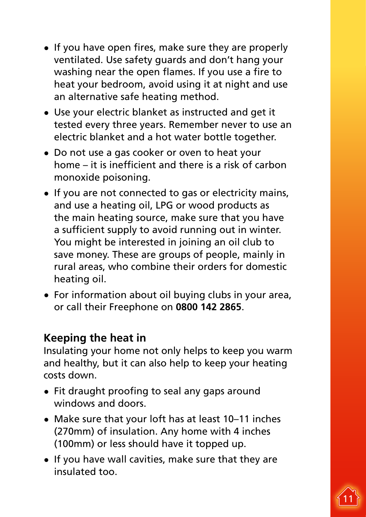- If you have open fires, make sure they are properly ventilated. Use safety guards and don't hang your washing near the open flames. If you use a fire to heat your bedroom, avoid using it at night and use an alternative safe heating method.
- Use your electric blanket as instructed and get it tested every three years. Remember never to use an electric blanket and a hot water bottle together.
- Do not use a gas cooker or oven to heat your home – it is inefficient and there is a risk of carbon monoxide poisoning.
- If you are not connected to gas or electricity mains, and use a heating oil, LPG or wood products as the main heating source, make sure that you have a sufficient supply to avoid running out in winter. You might be interested in joining an oil club to save money. These are groups of people, mainly in rural areas, who combine their orders for domestic heating oil.
- For information about oil buying clubs in your area, or call their Freephone on **0800 142 2865**.

#### **Keeping the heat in**

Insulating your home not only helps to keep you warm and healthy, but it can also help to keep your heating costs down.

- Fit draught proofing to seal any gaps around windows and doors.
- Make sure that your loft has at least 10–11 inches (270mm) of insulation. Any home with 4 inches (100mm) or less should have it topped up.
- If you have wall cavities, make sure that they are insulated too.

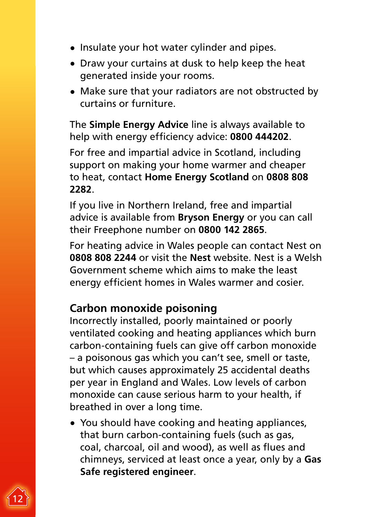- Insulate your hot water cylinder and pipes.
- Draw your curtains at dusk to help keep the heat generated inside your rooms.
- Make sure that your radiators are not obstructed by curtains or furniture.

The **[Simple Energy Advice](https://www.simpleenergyadvice.org.uk)** line is always available to help with energy efficiency advice: **0800 444202**.

For free and impartial advice in Scotland, including support on making your home warmer and cheaper to heat, contact **[Home Energy Scotland](http://www.energysavingtrust.org.uk/scotland/home-energy-scotland)** on **0808 808 2282**.

If you live in Northern Ireland, free and impartial advice is available from **[Bryson Energy](http://www.brysonenergy.org/what-we-do)** or you can call their Freephone number on **0800 142 2865**.

For heating advice in Wales people can contact Nest on **0808 808 2244** or visit the **[Nest](https://nest.gov.wales/en/)** website. Nest is a Welsh Government scheme which aims to make the least energy efficient homes in Wales warmer and cosier.

#### **Carbon monoxide poisoning**

Incorrectly installed, poorly maintained or poorly ventilated cooking and heating appliances which burn carbon-containing fuels can give off carbon monoxide – a poisonous gas which you can't see, smell or taste, but which causes approximately 25 accidental deaths per year in England and Wales. Low levels of carbon monoxide can cause serious harm to your health, if breathed in over a long time.

• You should have cooking and heating appliances, that burn carbon-containing fuels (such as gas, coal, charcoal, oil and wood), as well as flues and chimneys, serviced at least once a year, only by a **[Gas](https://www.gassaferegister.co.uk/find-an-engineer/)  [Safe registered engineer](https://www.gassaferegister.co.uk/find-an-engineer/)**.

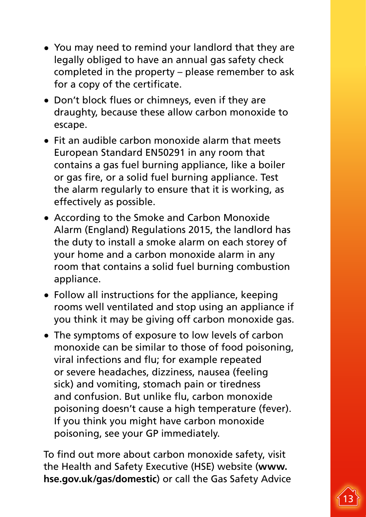- You may need to remind your landlord that they are legally obliged to have an annual gas safety check completed in the property – please remember to ask for a copy of the certificate.
- Don't block flues or chimneys, even if they are draughty, because these allow carbon monoxide to escape.
- Fit an audible carbon monoxide alarm that meets European Standard EN50291 in any room that contains a gas fuel burning appliance, like a boiler or gas fire, or a solid fuel burning appliance. Test the alarm regularly to ensure that it is working, as effectively as possible.
- According to the Smoke and Carbon Monoxide Alarm (England) Regulations 2015, the landlord has the duty to install a smoke alarm on each storey of your home and a carbon monoxide alarm in any room that contains a solid fuel burning combustion appliance.
- Follow all instructions for the appliance, keeping rooms well ventilated and stop using an appliance if you think it may be giving off carbon monoxide gas.
- The symptoms of exposure to low levels of carbon monoxide can be similar to those of food poisoning, viral infections and flu; for example repeated or severe headaches, dizziness, nausea (feeling sick) and vomiting, stomach pain or tiredness and confusion. But unlike flu, carbon monoxide poisoning doesn't cause a high temperature (fever). If you think you might have carbon monoxide poisoning, see your GP immediately.

To find out more about carbon monoxide safety, visit the Health and Safety Executive (HSE) website (**[www.](http://www.hse.gov.uk/gas/domestic) [hse.gov.uk/gas/domestic](http://www.hse.gov.uk/gas/domestic)**) or call the Gas Safety Advice

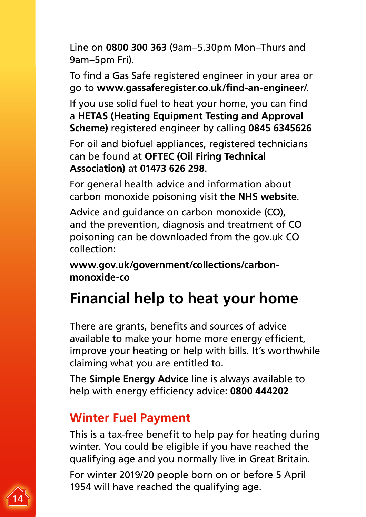<span id="page-13-0"></span>Line on **0800 300 363** (9am–5.30pm Mon–Thurs and 9am–5pm Fri).

To find a [Gas Safe registered engineer](https://www.gassaferegister.co.uk/find-an-engineer/) in your area or go to **[www.gassaferegister.co.uk/find-an-engineer/](http://www.gassaferegister.co.uk/find-an-engineer/)**.

If you use solid fuel to heat your home, you can find a **[HETAS \(Heating Equipment Testing and Approval](https://www.hetas.co.uk/)  [Scheme\)](https://www.hetas.co.uk/)** registered engineer by calling **0845 6345626**

For oil and biofuel appliances, registered technicians can be found at **[OFTEC \(Oil Firing Technical](https://www.oftec.org.uk/)  [Association\)](https://www.oftec.org.uk/)** at **01473 626 298**.

For general health advice and information about carbon monoxide poisoning visit **the [NHS w](http://www.nhs.uk/conditions/carbon-monoxide-poisoning)ebsite**.

Advice and guidance on carbon monoxide (CO), and the prevention, diagnosis and treatment of CO poisoning can be downloaded from the gov.uk CO collection:

**[www.gov.uk/government/collections/carbon](https://www.gov.uk/government/collections/carbon-monoxide-co)[monoxide-co](https://www.gov.uk/government/collections/carbon-monoxide-co)**

# **Financial help to heat your home**

There are grants, benefits and sources of advice available to make your home more energy efficient, improve your heating or help with bills. It's worthwhile claiming what you are entitled to.

The **[Simple Energy Advice](https://www.simpleenergyadvice.org.uk)** line is always available to help with energy efficiency advice: **0800 444202**

### **Winter Fuel Payment**

This is a tax-free benefit to help pay for heating during winter. You could be eligible if you have reached the qualifying age and you normally live in Great Britain.

For winter 2019/20 people born on or before 5 April 1954 will have reached the qualifying age.

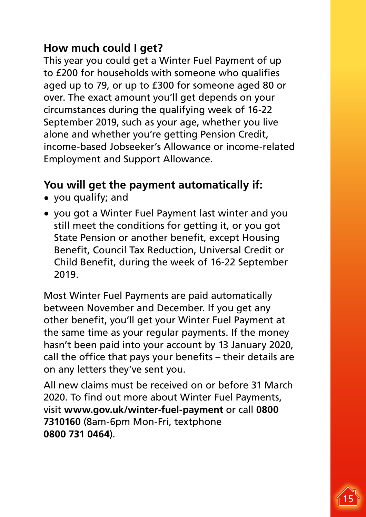#### **How much could I get?**

This year you could get a Winter Fuel Payment of up to £200 for households with someone who qualifies aged up to 79, or up to £300 for someone aged 80 or over. The exact amount you'll get depends on your circumstances during the qualifying week of 16-22 September 2019, such as your age, whether you live alone and whether you're getting Pension Credit, income-based Jobseeker's Allowance or income-related Employment and Support Allowance.

#### **You will get the payment automatically if:**

- you qualify; and
- you got a Winter Fuel Payment last winter and you still meet the conditions for getting it, or you got State Pension or another benefit, except Housing Benefit, Council Tax Reduction, Universal Credit or Child Benefit, during the week of 16-22 September 2019.

Most Winter Fuel Payments are paid automatically between November and December. If you get any other benefit, you'll get your Winter Fuel Payment at the same time as your regular payments. If the money hasn't been paid into your account by 13 January 2020, call the office that pays your benefits – their details are on any letters they've sent you.

All new claims must be received on or before 31 March 2020. To find out more about Winter Fuel Payments, visit **[www.gov.uk/winter-fuel-payment](http://www.gov.uk/winter-fuel-payment)** or call **0800 7310160** (8am-6pm Mon-Fri, textphone **0800 731 0464**).

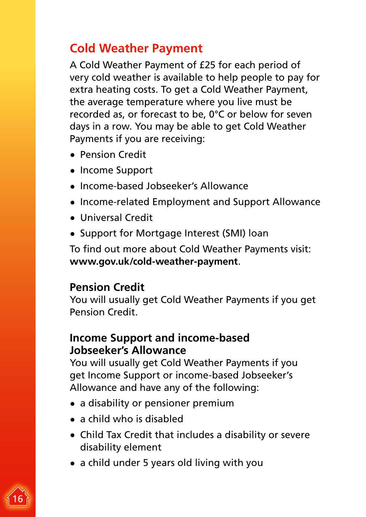### <span id="page-15-0"></span>**Cold Weather Payment**

A Cold Weather Payment of £25 for each period of very cold weather is available to help people to pay for extra heating costs. To get a Cold Weather Payment, the average temperature where you live must be recorded as, or forecast to be, 0°C or below for seven days in a row. You may be able to get Cold Weather Payments if you are receiving:

- Pension Credit
- Income Support
- Income-based Jobseeker's Allowance
- Income-related Employment and Support Allowance
- Universal Credit
- Support for Mortgage Interest (SMI) loan

To find out more about Cold Weather Payments visit: **<www.gov.uk/cold-weather-payment>**.

#### **Pension Credit**

You will usually get Cold Weather Payments if you get Pension Credit.

#### **Income Support and income-based Jobseeker's Allowance**

You will usually get Cold Weather Payments if you get Income Support or income-based Jobseeker's Allowance and have any of the following:

- a disability or pensioner premium
- a child who is disabled
- Child Tax Credit that includes a disability or severe disability element
- a child under 5 years old living with you

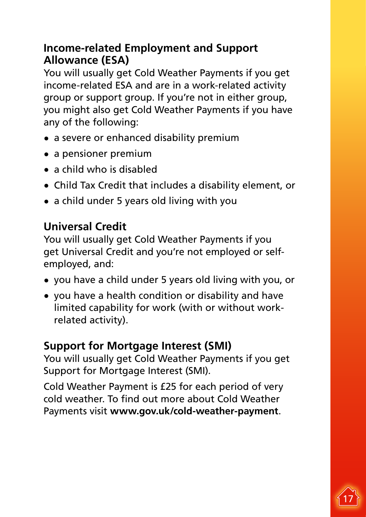#### **[Income-related Employment and Support](https://www.gov.uk/employment-support-allowance/what-youll-get)  [Allowance \(ESA\)](https://www.gov.uk/employment-support-allowance/what-youll-get)**

You will usually get Cold Weather Payments if you get income-related ESA and are in a work-related activity group or support group. If you're not in either group, you might also get Cold Weather Payments if you have any of the following:

- a severe or enhanced disability premium
- a pensioner premium
- a child who is disabled
- Child Tax Credit that includes a disability element, or
- a child under 5 years old living with you

#### **[Universal Credit](https://www.gov.uk/health-conditions-disability-universal-credit)**

You will usually get Cold Weather Payments if you get Universal Credit and you're not employed or selfemployed, and:

- you have a child under 5 years old living with you, or
- you have a health condition or disability and have limited capability for work (with or without workrelated activity).

#### **[Support for Mortgage Interest \(SMI\)](https://www.gov.uk/support-for-mortgage-interest)**

You will usually get Cold Weather Payments if you get Support for Mortgage Interest (SMI).

Cold Weather Payment is £25 for each period of very cold weather. To find out more about Cold Weather Payments visit **<www.gov.uk/cold-weather-payment>**.

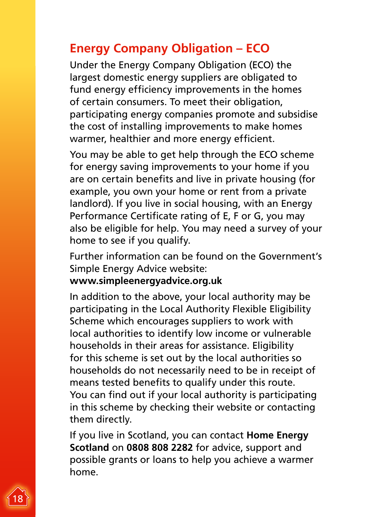#### <span id="page-17-0"></span>**Energy Company Obligation – ECO**

Under the Energy Company Obligation (ECO) the largest domestic energy suppliers are obligated to fund energy efficiency improvements in the homes of certain consumers. To meet their obligation, participating energy companies promote and subsidise the cost of installing improvements to make homes warmer, healthier and more energy efficient.

You may be able to get help through the ECO scheme for energy saving improvements to your home if you are on certain benefits and live in private housing (for example, you own your home or rent from a private landlord). If you live in social housing, with an Energy Performance Certificate rating of E, F or G, you may also be eligible for help. You may need a survey of your home to see if you qualify.

Further information can be found on the Government's Simple Energy Advice website:

#### **<www.simpleenergyadvice.org.uk>**

In addition to the above, your local authority may be participating in the Local Authority Flexible Eligibility Scheme which encourages suppliers to work with local authorities to identify low income or vulnerable households in their areas for assistance. Eligibility for this scheme is set out by the local authorities so households do not necessarily need to be in receipt of means tested benefits to qualify under this route. You can find out if your local authority is participating in this scheme by checking their website or contacting them directly.

If you live in Scotland, you can contact **[Home Energy](www.greenerscotland.org/home-energy/home-energy-scotland)  [Scotland](www.greenerscotland.org/home-energy/home-energy-scotland)** on **0808 808 2282** for advice, support and possible grants or loans to help you achieve a warmer home.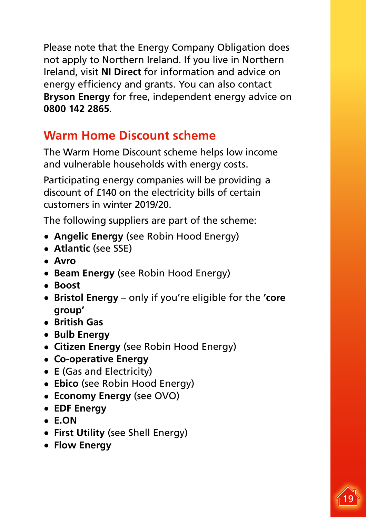<span id="page-18-0"></span>Please note that the Energy Company Obligation does not apply to Northern Ireland. If you live in Northern Ireland, visit **[NI Direct](http://www.nidirect.gov.uk/index/information-and-services/environment-and-greener-living/energy-wise.htm)** for information and advice on energy efficiency and grants. You can also contact **[Bryson Energy](http://www.brysonenergy.org/advice.html)** for free, independent energy advice on **0800 142 2865**.

## **Warm Home Discount scheme**

The Warm Home Discount scheme helps low income and vulnerable households with energy costs.

Participating energy companies will be providing a discount of £140 on the electricity bills of certain customers in winter 2019/20.

The following suppliers are part of the scheme:

- **[Angelic Energy](https://robinhoodenergy.co.uk/home-help/warm-home-discount-scheme-work/)** (see Robin Hood Energy)
- **[Atlantic](https://www.sse.co.uk/help/accessibility/warm-home-discount)** (see SSE)
- **[Avro](https://www.avroenergy.co.uk)**
- **[Beam Energy](https://robinhoodenergy.co.uk/home-help/warm-home-discount-scheme-work/)** (see Robin Hood Energy)
- **[Boost](https://www.boostpower.co.uk/help/topics/payments-and-statements/payments/am-i-eligible-for-the-warm-home-discount.html)**
- **[Bristol Energy](https://www.bristol-energy.co.uk/warm-home-discount)** only if you're eligible for the **['core](https://www.gov.uk/the-warm-home-discount-scheme/guarantee-pension-credit)  [group'](https://www.gov.uk/the-warm-home-discount-scheme/guarantee-pension-credit)**
- **[British Gas](http://www.britishgas.co.uk/whd)**
- **[Bulb Energy](https://help.bulb.co.uk/hc/en-us/articles/115001245512-Can-I-get-the-Warm-Home-Discount)**
- **[Citizen Energy](https://robinhoodenergy.co.uk/home-help/warm-home-discount-scheme-work/)** (see Robin Hood Energy)
- **[Co-operative Energy](https://www.cooperativeenergy.coop/reduce-your-bills/whd/)**
- **E** [\(Gas and Electricity\)](https://www.e.org/support)
- **[Ebico](https://robinhoodenergy.co.uk/home-help/warm-home-discount-scheme-work/)** (see Robin Hood Energy)
- **[Economy Energy](https://www.ovoenergy.com/help/warm-home-discount)** (see OVO)
- **[EDF Energy](http://www.edfenergy.com/products-services/for-your-home/safe-warm-and-well/warm-home-discount.shtml)**
- **[E.ON](http://www.eonenergy.com/for-your-home/Get-energy-efficient/how-are-we-helping/Warm-home-discount)**
- **[First Utility](https://www.shellenergy.co.uk/services/warm-home-discount)** (see Shell Energy)
- **[Flow Energy](https://www.flowenergy.uk.com/warm-home-discount/)**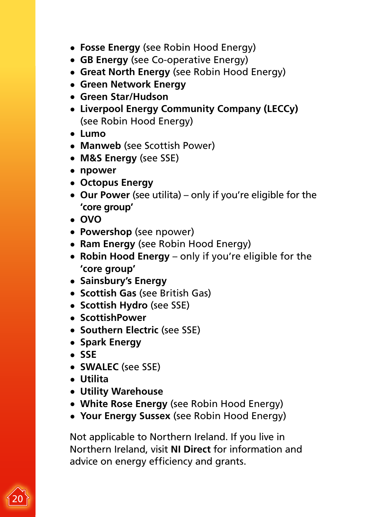- **[Fosse Energy](https://robinhoodenergy.co.uk/home-help/warm-home-discount-scheme-work/)** (see Robin Hood Energy)
- **[GB Energy](https://www.cooperativeenergy.coop/reduce-your-bills/whd/)** (see Co-operative Energy)
- **[Great North Energy](https://robinhoodenergy.co.uk/home-help/warm-home-discount-scheme-work/)** (see Robin Hood Energy)
- **[Green Network Energy](https://greennetworkenergy.co.uk/warm-home-discount/)**
- **[Green Star/Hudson](http://www.mygreenstarenergy.com/)**
- **[Liverpool Energy Community Company \(LECCy\)](https://robinhoodenergy.co.uk/home-help/warm-home-discount-scheme-work/)** (see Robin Hood Energy)
- **[Lumo](https://lumoapp.co.uk/warm-home-discount/)**
- **[Manweb](https://community.scottishpower.co.uk/t5/Help-paying-your-bill/Warm-Home-Discount-Scheme/ta-p/14)** (see Scottish Power)
- **[M&S Energy](https://www.sse.co.uk/help/accessibility/warm-home-discount)** (see SSE)
- **[npower](https://www.npower.com/spreading_warmth/home/warm-home-discount)**
- **[Octopus Energy](https://octopus.energy/help-and-faqs/categories/all/warm-home-discount/)**
- **[Our Power](https://utilita.co.uk/help/warm-home-discount)** (see utilita) only if you're eligible for the **['core group'](https://www.gov.uk/the-warm-home-discount-scheme/guarantee-pension-credit)**
- **[OVO](https://www.ovoenergy.com/help/warm-home-discount)**
- **[Powershop](https://www.npower.com/spreading_warmth/home/warm-home-discount)** (see npower)
- **[Ram Energy](https://robinhoodenergy.co.uk/home-help/warm-home-discount-scheme-work/)** (see Robin Hood Energy)
- **[Robin Hood Energy](https://robinhoodenergy.co.uk/home-help/warm-home-discount-scheme-work/)** only if you're eligible for the **['core group'](https://www.gov.uk/the-warm-home-discount-scheme/guarantee-pension-credit)**
- **[Sainsbury's Energy](https://www.sainsburysenergy.com/help-support/warm-home-discount/)**
- **[Scottish Gas](https://www.britishgas.co.uk/whd)** (see British Gas)
- **[Scottish Hydro](https://www.sse.co.uk/help/accessibility/warm-home-discount)** (see SSE)
- **[ScottishPower](https://community.scottishpower.co.uk/t5/Help-paying-your-bill/Warm-Home-Discount-Scheme/ta-p/14)**
- **[Southern Electric](https://www.sse.co.uk/help/accessibility/warm-home-discount)** (see SSE)
- **[Spark Energy](https://sparkenergy.co.uk/warmhomediscount)**
- **[SSE](https://www.sse.co.uk/help/accessibility/warm-home-discount)**
- **[SWALEC](https://www.sse.co.uk/help/accessibility/warm-home-discount)** (see SSE)
- **[Utilita](http://www.utilita.co.uk/save-energy/warm-home-discount)**
- **[Utility Warehouse](https://www.utilitywarehouse.co.uk/clubhouse/warmhome/)**
- **[White Rose Energy](https://robinhoodenergy.co.uk/home-help/warm-home-discount-scheme-work/)** (see Robin Hood Energy)
- **[Your Energy Sussex](https://robinhoodenergy.co.uk/home-help/warm-home-discount-scheme-work/)** (see Robin Hood Energy)

Not applicable to Northern Ireland. If you live in Northern Ireland, visit **NI [Direct](https://www.nidirect.gov.uk/campaigns/energy-wise)** for information and advice on energy efficiency and grants.

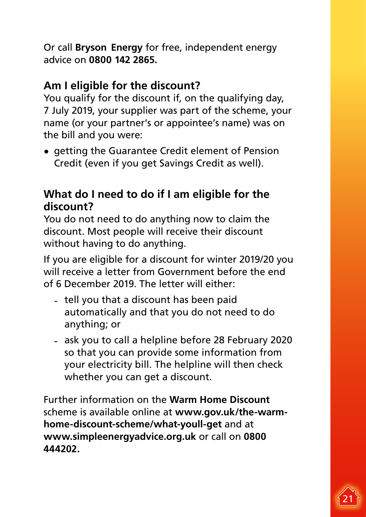Or call **[Bryson](http://www.brysonenergy.org/what-we-do) [Energy](http://www.brysonenergy.org/what-we-do)** for free, independent energy advice on **0800 142 2865.**

#### **Am I eligible for the discount?**

You qualify for the discount if, on the qualifying day, 7 July 2019, your supplier was part of the scheme, your name (or your partner's or appointee's name) was on the bill and you were:

• getting the Guarantee Credit element of Pension Credit (even if you get Savings Credit as well).

#### **What do I need to do if I am eligible for the discount?**

You do not need to do anything now to claim the discount. Most people will receive their discount without having to do anything.

If you are eligible for a discount for winter 2019/20 you will receive a letter from Government before the end of 6 December 2019. The letter will either:

- tell you that a discount has been paid automatically and that you do not need to do anything; or
- ask you to call a helpline before 28 February 2020 so that you can provide some information from your electricity bill. The helpline will then check whether you can get a discount.

Further information on the **[Warm Home Discount](https://www.gov.uk/the-warm-home-discount-scheme/what-youll-get)** scheme is available online at **[www.gov.uk/the-warm](http://www.gov.uk/the-warm-home-discount-scheme/what-youll-get)[home-discount-scheme/what-youll-get](http://www.gov.uk/the-warm-home-discount-scheme/what-youll-get)** and at **<www.simpleenergyadvice.org.uk>** or call on **0800 444202.**

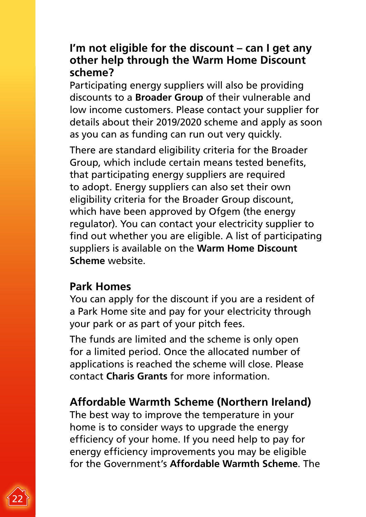#### **I'm not eligible for the discount – can I get any other help through the Warm Home Discount scheme?**

Participating energy suppliers will also be providing discounts to a **[Broader Group](https://www.ofgem.gov.uk/publications-and-updates/faqs-warm-home-discount-scheme)** of their vulnerable and low income customers. Please contact your supplier for details about their 2019/2020 scheme and apply as soon as you can as funding can run out very quickly.

There are standard eligibility criteria for the Broader Group, which include certain means tested benefits, that participating energy suppliers are required to adopt. Energy suppliers can also set their own eligibility criteria for the Broader Group discount, which have been approved by Ofgem (the energy regulator). You can contact your electricity supplier to find out whether you are eligible. A list of participating suppliers is available on the **[Warm Home Discount](https://www.gov.uk/the-warm-home-discount-scheme)  [Scheme](https://www.gov.uk/the-warm-home-discount-scheme)** website.

#### **Park Homes**

You can apply for the discount if you are a resident of a Park Home site and pay for your electricity through your park or as part of your pitch fees.

The funds are limited and the scheme is only open for a limited period. Once the allocated number of applications is reached the scheme will close. Please contact **[Charis Grants](https://parkhomeswhd.com/)** for more information.

#### **Affordable Warmth Scheme (Northern Ireland)**

The best way to improve the temperature in your home is to consider ways to upgrade the energy efficiency of your home. If you need help to pay for energy efficiency improvements you may be eligible for the Government's **[Affordable Warmth Scheme](https://www.nihe.gov.uk/Housing-Help/Affordable-Warmth-Boiler-Replacement/Affordable-Warmth-Scheme)**. The

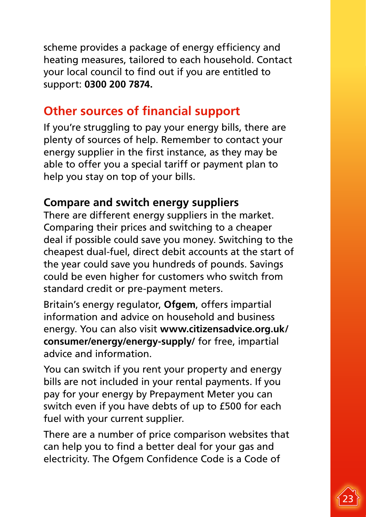<span id="page-22-0"></span>scheme provides a package of energy efficiency and heating measures, tailored to each household. Contact your local council to find out if you are entitled to support: **0300 200 7874.**

### **Other sources of financial support**

If you're struggling to pay your energy bills, there are plenty of sources of help. Remember to contact your energy supplier in the first instance, as they may be able to offer you a special tariff or payment plan to help you stay on top of your bills.

#### **Compare and switch energy suppliers**

There are different energy suppliers in the market. Comparing their prices and switching to a cheaper deal if possible could save you money. Switching to the cheapest dual-fuel, direct debit accounts at the start of the year could save you hundreds of pounds. Savings could be even higher for customers who switch from standard credit or pre-payment meters.

Britain's energy regulator, **[Ofgem](https://www.ofgem.gov.uk/consumers/energy-guides)**, offers impartial information and advice on household and business energy. You can also visit **[www.citizensadvice.org.uk/](http://www.citizensadvice.org.uk/consumer/energy/energy-supply/) [consumer/energy/energy-supply/](http://www.citizensadvice.org.uk/consumer/energy/energy-supply/)** for free, impartial advice and information.

You can switch if you rent your property and energy bills are not included in your rental payments. If you pay for your energy by Prepayment Meter you can switch even if you have debts of up to £500 for each fuel with your current supplier.

There are a number of price comparison websites that can help you to find a better deal for your gas and electricity. The Ofgem Confidence Code is a Code of

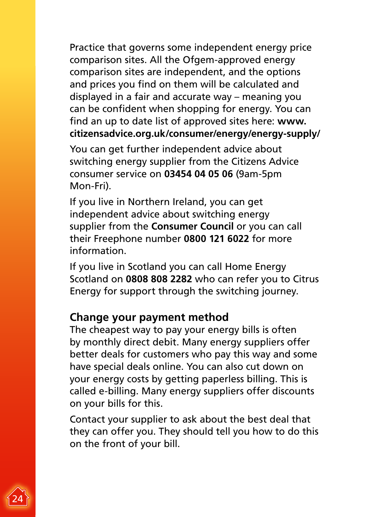Practice that governs some independent energy price comparison sites. All the Ofgem-approved energy comparison sites are independent, and the options and prices you find on them will be calculated and displayed in a fair and accurate way – meaning you can be confident when shopping for energy. You can find an up to date list of approved sites here: **[www.](http://www.citizensadvice.org.uk/consumer/energy/energy-supply/) [citizensadvice.org.uk/consumer/energy/energy-supply/](http://www.citizensadvice.org.uk/consumer/energy/energy-supply/)**

You can get further independent advice about switching energy supplier from the Citizens Advice consumer service on **03454 04 05 06** (9am-5pm Mon-Fri).

If you live in Northern Ireland, you can get independent advice about switching energy supplier from the **[Consumer Council](http://www.consumercouncil.org.uk/energy/electricity-gas-price-comparison/)** or you can call their Freephone number **0800 121 6022** for more information.

If you live in Scotland you can call Home Energy Scotland on **0808 808 2282** who can refer you to Citrus Energy for support through the switching journey.

#### **Change your payment method**

The cheapest way to pay your energy bills is often by monthly direct debit. Many energy suppliers offer better deals for customers who pay this way and some have special deals online. You can also cut down on your energy costs by getting paperless billing. This is called e-billing. Many energy suppliers offer discounts on your bills for this.

Contact your supplier to ask about the best deal that they can offer you. They should tell you how to do this on the front of your bill.

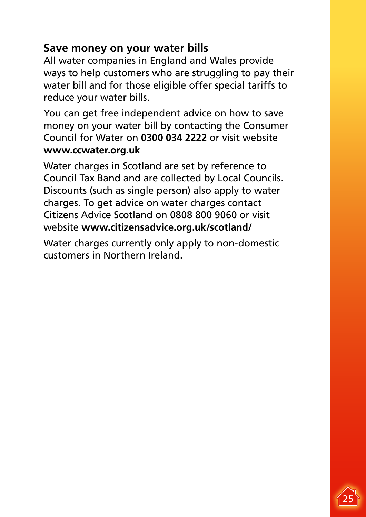#### **Save money on your water bills**

All water companies in England and Wales provide ways to help customers who are struggling to pay their water bill and for those eligible offer special tariffs to reduce your water bills.

You can get free independent advice on how to save money on your water bill by contacting the Consumer Council for Water on **0300 034 2222** or visit website **[www.ccwater.org.uk](http://www.ccwater.org.uk)**

Water charges in Scotland are set by reference to Council Tax Band and are collected by Local Councils. Discounts (such as single person) also apply to water charges. To get advice on water charges contact Citizens Advice Scotland on 0808 800 9060 or visit website **[www.citizensadvice.org.uk/scotland/](http://www.citizensadvice.org.uk/scotland/)**

Water charges currently only apply to non-domestic customers in Northern Ireland.

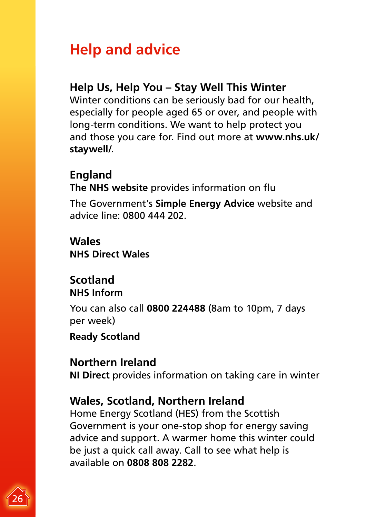# <span id="page-25-0"></span>**Help and advice**

#### **Help Us, Help You – Stay Well This Winter**

Winter conditions can be seriously bad for our health, especially for people aged 65 or over, and people with long-term conditions. We want to help protect you and those you care for. Find out more at **[www.nhs.uk/](http://www.nhs.uk/staywell/) [staywell/](http://www.nhs.uk/staywell/)**.

#### **England**

**The [NHS w](http://www.nhs.uk/conditions/vaccinations/pages/flu-influenza-vaccine.aspx)ebsite** provides information on flu

The Government's **[Simple Energy Advice](https://www.simpleenergyadvice.org.uk/)** website and advice line: 0800 444 202.

**Wales [NHS Direct Wales](http://www.nhsdirect.wales.nhs.uk/doityourself/vaccinations/flujab/)**

#### **Scotland [NHS Inform](http://www.nhsinform.co.uk/)**

You can also call **0800 224488** (8am to 10pm, 7 days per week)

**[Ready Scotland](http://www.readyscotland.org/)**

#### **Northern Ireland**

**[NI Direct](http://www.nidirect.gov.uk/index/information-and-services/leisure-home-and-community/support-and-safety-in-your-home/safety-at-home/taking-care-in-winter.htm)** provides information on taking care in winter

#### **Wales, Scotland, Northern Ireland**

Home Energy Scotland (HES) from the Scottish Government is your one-stop shop for energy saving advice and support. A warmer home this winter could be just a quick call away. Call to see what help is available on **0808 808 2282**.

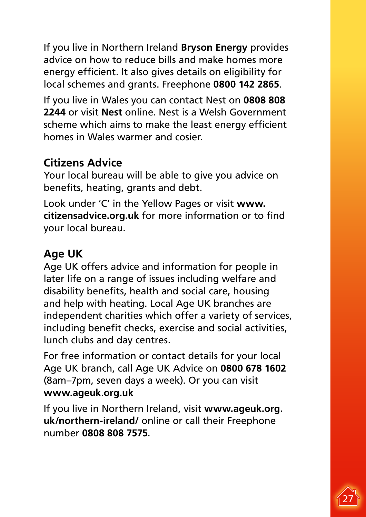If you live in Northern Ireland **[Bryson Energy](http://www.brysonenergy.org/advice.html)** provides advice on how to reduce bills and make homes more energy efficient. It also gives details on eligibility for local schemes and grants. Freephone **0800 142 2865**.

If you live in Wales you can contact Nest on **0808 808 2244** or visit **[Nest](http://www.nestwales.org.uk/)** online. Nest is a Welsh Government scheme which aims to make the least energy efficient homes in Wales warmer and cosier.

#### **Citizens Advice**

Your local bureau will be able to give you advice on benefits, heating, grants and debt.

Look under 'C' in the Yellow Pages or visit **[www.](http://www.citizensadvice.org.uk/) [citizensadvice.org.uk](http://www.citizensadvice.org.uk/)** for more information or to find your local bureau.

#### **Age UK**

Age UK offers advice and information for people in later life on a range of issues including welfare and disability benefits, health and social care, housing and help with heating. Local Age UK branches are independent charities which offer a variety of services, including benefit checks, exercise and social activities, lunch clubs and day centres.

For free information or contact details for your local Age UK branch, call Age UK Advice on **0800 678 1602** (8am–7pm, seven days a week). Or you can visit **[www.ageuk.org.uk](https://www.ageuk.org.uk/)**

If you live in Northern Ireland, visit **[www.ageuk.org.](http://www.ageuk.org.uk/northern-ireland/) [uk/northern-ireland/](http://www.ageuk.org.uk/northern-ireland/)** online or call their Freephone number **0808 808 7575**.

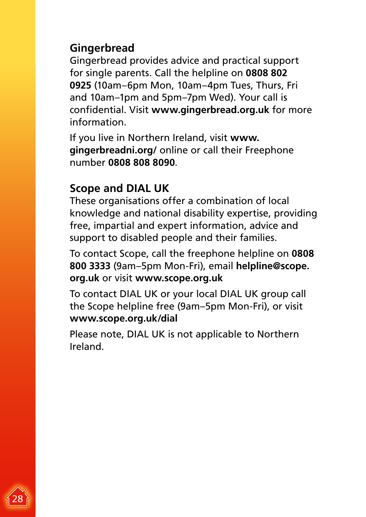#### **Gingerbread**

Gingerbread provides advice and practical support for single parents. Call the helpline on **0808 802 0925** (10am–6pm Mon, 10am–4pm Tues, Thurs, Fri and 10am–1pm and 5pm–7pm Wed). Your call is confidential. Visit **[www.gingerbread.org.uk](http://www.gingerbread.org.uk/)** for more information.

If you live in Northern Ireland, visit **[www.](http://www.gingerbreadni.org/) [gingerbreadni.org/](http://www.gingerbreadni.org/)** online or call their Freephone number **0808 808 8090**.

#### **Scope and DIAL UK**

These organisations offer a combination of local knowledge and national disability expertise, providing free, impartial and expert information, advice and support to disabled people and their families.

To contact Scope, call the freephone helpline on **0808 800 3333** (9am–5pm Mon-Fri), email **[helpline@scope.](mailto:helpline%40scope.%20org.uk?subject=)  [org.uk](mailto:helpline%40scope.%20org.uk?subject=)** or visit **[www.scope.org.uk](http://www.scope.org.uk/)**

To contact DIAL UK or your local DIAL UK group call the Scope helpline free (9am–5pm Mon-Fri), or visit **[www.scope.org.uk/dial](http://www.scope.org.uk/dial)**

Please note, DIAL UK is not applicable to Northern Ireland.

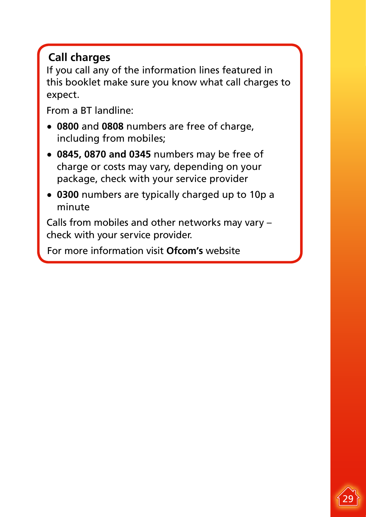### **Call charges**

If you call any of the information lines featured in this booklet make sure you know what call charges to expect.

From a BT landline:

- **0800** and **0808** numbers are free of charge, including from mobiles;
- **0845, 0870 and 0345** numbers may be free of charge or costs may vary, depending on your package, check with your service provider
- **0300** numbers are typically charged up to 10p a minute

Calls from mobiles and other networks may vary – check with your service provider.

For more information visit **[Ofcom's](https://www.ofcom.org.uk/phones-telecoms-and-internet/advice-for-consumers/costs-and-billing/how-much-does-a-phone-call-really-cost)** website